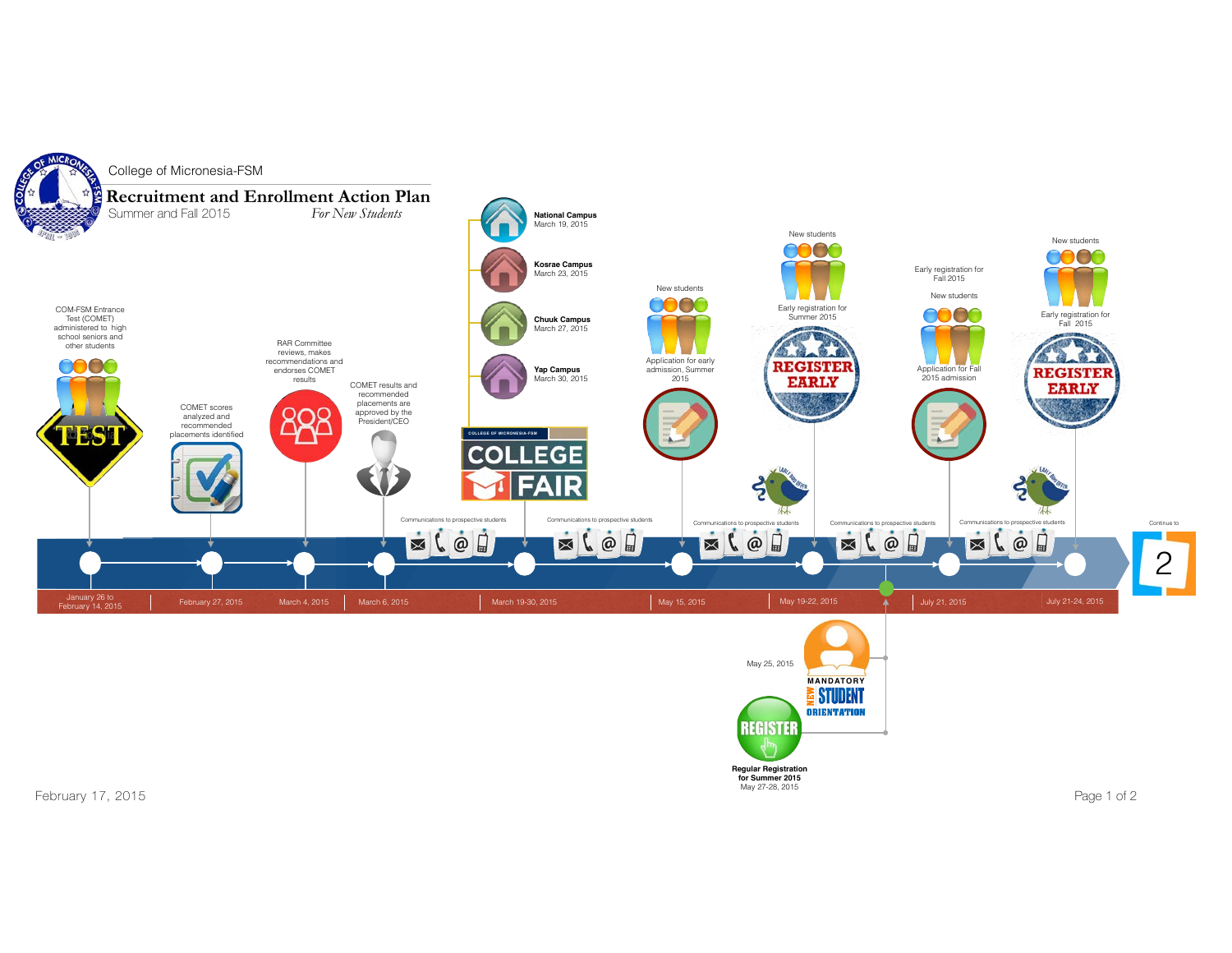